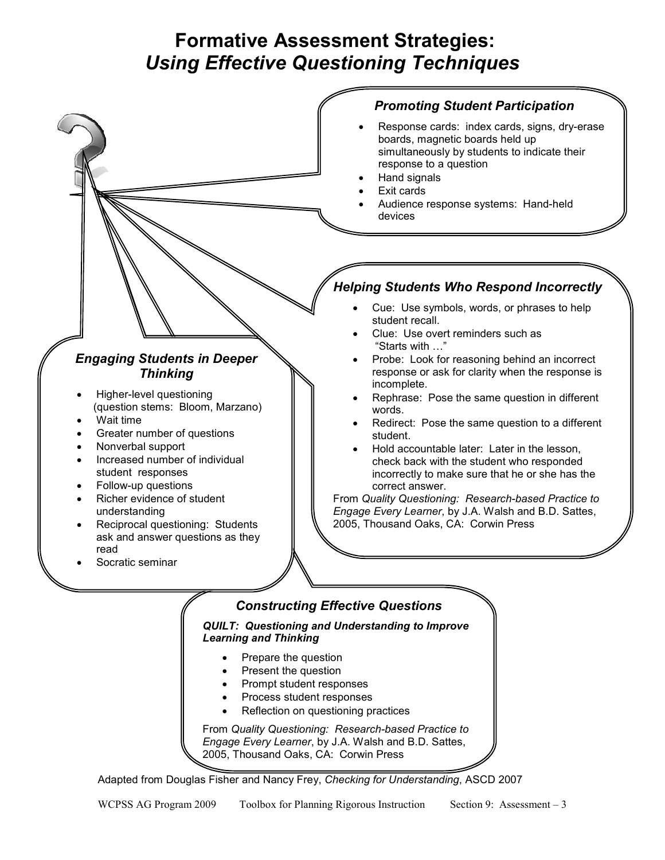# **Formative Assessment Strategies:**  *Using Effective Questioning Techniques*



2005, Thousand Oaks, CA: Corwin Press

Adapted from Douglas Fisher and Nancy Frey, *Checking for Understanding*, ASCD 2007